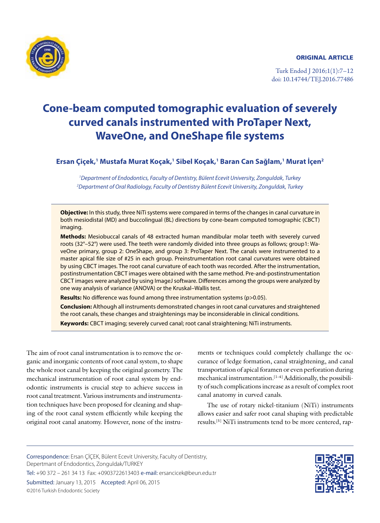ORIGINAL ARTICLE



Turk Endod J 2016;1(1):7–12 doi: 10.14744/TEJ.2016.77486

# **Cone-beam computed tomographic evaluation of severely curved canals instrumented with ProTaper Next, WaveOne, and OneShape file systems**

## **Ersan Çiçek,1 Mustafa Murat Koçak,1 Sibel Koçak,1 Baran Can Sağlam,1 Murat İçen2**

*1 Department of Endodontics, Faculty of Dentistry, Bülent Ecevit University, Zonguldak, Turkey 2 Department of Oral Radiology, Faculty of Dentistry Bülent Ecevit University, Zonguldak, Turkey*

**Objective:** In this study, three NiTi systems were compared in terms of the changes in canal curvature in both mesiodistal (MD) and buccolingual (BL) directions by cone-beam computed tomographic (CBCT) imaging.

**Methods:** Mesiobuccal canals of 48 extracted human mandibular molar teeth with severely curved roots (32°–52°) were used. The teeth were randomly divided into three groups as follows; group1: WaveOne primary, group 2: OneShape, and group 3: ProTaper Next. The canals were instrumented to a master apical file size of #25 in each group. Preinstrumentation root canal curvatures were obtained by using CBCT images. The root canal curvature of each tooth was recorded. After the instrumentation, postinstrumentation CBCT images were obtained with the same method. Pre-and-postinstrumentation CBCT images were analyzed by using ImageJ software. Differences among the groups were analyzed by one way analysis of variance (ANOVA) or the Kruskal–Wallis test.

**Results:** No difference was found among three instrumentation systems (p>0.05).

**Conclusion:** Although all instruments demonstrated changes in root canal curvatures and straightened the root canals, these changes and straightenings may be inconsiderable in clinical conditions. **Keywords:** CBCT imaging; severely curved canal; root canal straightening; NiTi instruments.

The aim of root canal instrumentation is to remove the organic and inorganic contents of root canal system, to shape the whole root canal by keeping the original geometry. The mechanical instrumentation of root canal system by endodontic instruments is crucial step to achieve success in root canal treatment. Various instruments and instrumentation techniques have been proposed for cleaning and shaping of the root canal system efficiently while keeping the original root canal anatomy. However, none of the instruments or techniques could completely challange the occurance of ledge formation, canal straightening, and canal transportation of apical foramen or even perforation during mechanical instrumentation.<sup>[1-4]</sup> Additionally, the possibility of such complications increase as a result of complex root canal anatomy in curved canals.

The use of rotary nickel-titanium (NiTi) instruments allows easier and safer root canal shaping with predictable results.[5] NiTi instruments tend to be more centered, rap-

Correspondence: Ersan ÇİÇEK, Bülent Ecevit University, Faculty of Dentistry, Depertmant of Endodontics, Zonguldak/TURKEY Tel: +90 372 – 261 34 13 Fax: +0903722613403 e-mail: ersancicek@beun.edu.tr Submitted: January 13, 2015 Accepted: April 06, 2015 ©2016 Turkish Endodontic Society

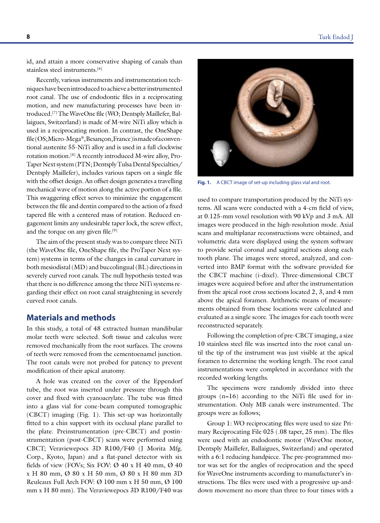id, and attain a more conservative shaping of canals than stainless steel instruments.[6]

Recently, various instruments and instrumentation techniques have been introduced to achieve a better instrumented root canal. The use of endodontic files in a reciprocating motion, and new manufacturing processes have been introduced.[7] The WaveOne file (WO; Dentsply Maillefer, Ballaigues, Switzerland) is made of M-wire NiTi alloy which is used in a reciprocating motion. In contrast, the OneShape file (OS; Micro-Mega®, Besançon, France) is made of a conventional austenite 55-NiTi alloy and is used in a full clockwise rotation motion.[8] A recently introduced M-wire alloy, Pro-Taper Next system (PTN; Dentsply Tulsa Dental Specialties/ Dentsply Maillefer), includes various tapers on a single file with the offset design. An offset design generates a travelling mechanical wave of motion along the active portion of a file. This swaggering effect serves to minimize the engagement between the file and dentin compared to the action of a fixed tapered file with a centered mass of rotation. Reduced engagement limits any undesirable taper lock, the screw effect, and the torque on any given file.<sup>[9]</sup>

The aim of the present study was to compare three NiTi (the WaveOne file, OneShape file, the ProTaper Next system) systems in terms of the changes in canal curvature in both mesiodistal (MD) and buccolingual (BL) directions in severely curved root canals. The null hypothesis tested was that there is no difference among the three NiTi systems regarding their effect on root canal straightening in severely curved root canals.

## **Materials and methods**

In this study, a total of 48 extracted human mandibular molar teeth were selected. Soft tissue and calculus were removed mechanically from the root surfaces. The crowns of teeth were removed from the cementoenamel junction. The root canals were not probed for patency to prevent modification of their apical anatomy.

A hole was created on the cover of the Eppendorf tube, the root was inserted under pressure through this cover and fixed with cyanoacrylate. The tube was fitted into a glass vial for cone-beam computed tomographic (CBCT) imaging (Fig. 1). This set-up was horizontally fitted to a chin support with its occlusal plane parallel to the plate. Preinstrumentation (pre-CBCT) and postinstrumentation (post-CBCT) scans were performed using CBCT; Veraviewepocs 3D R100/F40 (J Morita Mfg. Corp., Kyoto, Japan) and a flat-panel detector with six fields of view (FOVs; Six FOV:  $\varnothing$  40 x H 40 mm,  $\varnothing$  40 x H 80 mm, Ø 80 x H 50 mm, Ø 80 x H 80 mm 3D Reuleaux Full Arch FOV:  $\varnothing$  100 mm x H 50 mm,  $\varnothing$  100 mm x H 80 mm). The Veraviewepocs 3D R100/F40 was



**Fig. 1.** A CBCT image of set-up including glass vial and root.

used to compare transportation produced by the NiTi systems. All scans were conducted with a 4-cm field of view, at 0.125-mm voxel resolution with 90 kVp and 3 mA. All images were produced in the high-resolution mode. Axial scans and multiplanar reconstructions were obtained, and volumetric data were displayed using the system software to provide serial coronal and sagittal sections along each tooth plane. The images were stored, analyzed, and converted into BMP format with the software provided for the CBCT machine (i-dixel). Three-dimensional CBCT images were acquired before and after the instrumentation from the apical root cross sections located 2, 3, and 4 mm above the apical foramen. Arithmetic means of measurements obtained from these locations were calculated and evaluated as a single score. The images for each tooth were reconstructed separately.

Following the completion of pre-CBCT imaging, a size 10 stainless steel file was inserted into the root canal until the tip of the instrument was just visible at the apical foramen to determine the working length. The root canal instrumentations were completed in accordance with the recorded working lengths.

The specimens were randomly divided into three groups (n=16) according to the NiTi file used for instrumentation. Only MB canals were instrumented. The groups were as follows;

Group 1: WO reciprocating files were used to size Primary Reciprocating File 025 (.08 taper, 25 mm). The files were used with an endodontic motor (WaveOne motor, Dentsply Maillefer, Ballaigues, Switzerland) and operated with a 6:1 reducing handpiece. The pre-programmed motor was set for the angles of reciprocation and the speed for WaveOne instruments according to manufacturer's instructions. The files were used with a progressive up-anddown movement no more than three to four times with a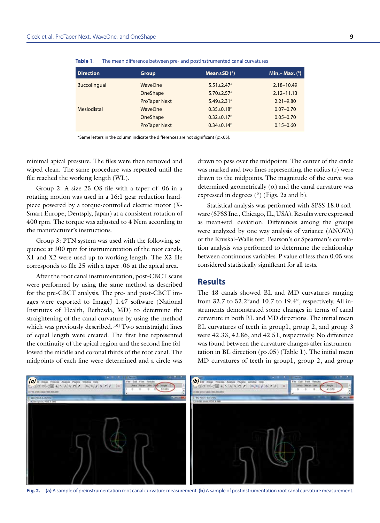| <b>Direction</b> | <b>Group</b>         | Mean $\pm$ SD $(°)$          | Min. – Max. $(°)$ |
|------------------|----------------------|------------------------------|-------------------|
| Buccolingual     | WaveOne              | $5.51 \pm 2.47$ <sup>a</sup> | $2.18 - 10.49$    |
|                  | OneShape             | $5.70 + 2.57$ <sup>a</sup>   | $2.12 - 11.13$    |
|                  | <b>ProTaper Next</b> | $5.49 \pm 2.31$ <sup>a</sup> | $2.21 - 9.80$     |
| Mesiodistal      | WaveOne              | $0.35 \pm 0.18^{\circ}$      | $0.07 - 0.70$     |
|                  | OneShape             | $0.32 \pm 0.17$ <sup>b</sup> | $0.05 - 0.70$     |
|                  | <b>ProTaper Next</b> | $0.34 \pm 0.14^b$            | $0.15 - 0.60$     |

**Table 1**. The mean difference between pre- and postinstrumented canal curvatures

\*Same letters in the column indicate the differences are not significant (p>.05).

minimal apical pressure. The files were then removed and wiped clean. The same procedure was repeated until the file reached the working length (WL).

Group 2: A size 25 OS file with a taper of .06 in a rotating motion was used in a 16:1 gear reduction handpiece powered by a torque-controlled electric motor (X-Smart Europe; Dentsply, Japan) at a consistent rotation of 400 rpm. The torque was adjusted to 4 Ncm according to the manufacturer's instructions.

Group 3: PTN system was used with the following sequence at 300 rpm for instrumentation of the root canals, X1 and X2 were used up to working length. The X2 file corresponds to file 25 with a taper .06 at the apical area.

After the root canal instrumentation, post-CBCT scans were performed by using the same method as described for the pre-CBCT analysis. The pre- and post-CBCT images were exported to ImageJ 1.47 software (National Institutes of Health, Bethesda, MD) to determine the straightening of the canal curvature by using the method which was previously described.<sup>[10]</sup> Two semistraight lines of equal length were created. The first line represented the continuity of the apical region and the second line followed the middle and coronal thirds of the root canal. The midpoints of each line were determined and a circle was drawn to pass over the midpoints. The center of the circle was marked and two lines representing the radius (r) were drawn to the midpoints. The magnitude of the curve was determined geometrically  $(\alpha)$  and the canal curvature was expressed in degrees (°) (Figs. 2a and b).

Statistical analysis was performed with SPSS 18.0 software (SPSS Inc., Chicago, IL, USA). Results were expressed as mean±std. deviation. Differences among the groups were analyzed by one way analysis of variance (ANOVA) or the Kruskal–Wallis test. Pearson's or Spearman's correlation analysis was performed to determine the relationship between continuous variables. P value of less than 0.05 was considered statistically significant for all tests.

#### **Results**

The 48 canals showed BL and MD curvatures ranging from 32.7 to 52.2°and 10.7 to 19.4°, respectively. All instruments demonstrated some changes in terms of canal curvature in both BL and MD directions. The initial mean BL curvatures of teeth in group1, group 2, and group 3 were 42.33, 42.86, and 42.51, respectively. No difference was found between the curvature changes after instrumentation in BL direction  $(p>0.05)$  (Table 1). The initial mean MD curvatures of teeth in group1, group 2, and group

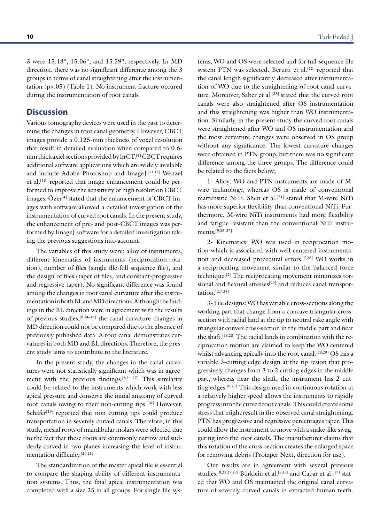3 were 15.18°, 15.06°, and 15.59°, respectively. In MD direction, there was no significant difference among the 3 groups in terms of canal straightening after the instrumentation (p>.05) (Table 1). No instrument fracture occured during the instrumentation of root canals.

#### **Discussion**

Various tomography devices were used in the past to determine the changes in root canal geometry. However, CBCT images provide a 0.125-mm thickness of voxel resolution that result in detailed evaluation when compared to 0.6 mm thick axiel sections provided by hrCT.[4] CBCT requires additional software applications which are widely available and include Adobe Photoshop and ImageJ.<sup>[11,12]</sup> Wenzel et al.<sup>[13]</sup> reported that image enhancement could be performed to improve the sensitivity of high resolution CBCT images. Özer<sup>[4]</sup> stated that the enhancement of CBCT images with software allowed a detailed investigation of the instrumentation of curved root canals. In the present study, the enhancement of pre- and post-CBCT images was performed by ImageJ software for a detailed investigation taking the previous suggestions into account.

The variables of this study were; alloy of instruments, different kinematics of instruments (reciprocation-rotation), number of files (single file-full sequence file), and the design of files (taper of files, and constant-progressive and regressive taper). No significant difference was found among the changes in root canal curvature after the instrumentation in both BL and MD directions. Although the findings in the BL direction were in agreement with the results of previous studies,[8,14–16] the canal curvature changes in MD direction could not be compared due to the absence of previously published data. A root canal demonstrates curvatures in both MD and BL directions. Therefore, the present study aims to contribute to the literature.

In the present study, the changes in the canal curvatures were not statistically significant which was in agreement with the previous findings. $[8,14-17]$  This similarity could be related to the instruments which work with less apical pressure and conserve the initial anatomy of curved root canals owing to their non-cutting tips.[18] However, Schäfer<sup>[19]</sup> reported that non cutting tips could produce transportation in severely curved canals. Therefore, in this study, mesial roots of mandibular molars were selected due to the fact that these roots are commonly narrow and suddenly curved in two planes increasing the level of instrumentation difficulty.[20,21]

The standardization of the master apical file is essential to compare the shaping ability of different instrumentation systems. Thus, the final apical instrumentation was completed with a size 25 in all groups. For single file systems, WO and OS were selected and for full-sequence file system PTN was selected. Berutti et al.<sup>[22]</sup> reported that the canal length significantly decreased after instrumentation of WO due to the straightening of root canal curvature. Moreover, Saber et al.<sup>[23]</sup> stated that the curved root canals were also straightened after OS instrumentation and this straightening was higher than WO instrumentation. Similarly, in the present study the curved root canals were straightened after WO and OS instrumentation and the most curvature changes were observed in OS group without any significance. The lowest curvature changes were obtained in PTN group, but there was no significant difference among the three groups. The difference could be related to the facts below;

1- Alloy: WO and PTN instruments are made of Mwire technology, whereas OS is made of conventional martensitic NiTi. Shen et al.<sup>[24]</sup> stated that M-wire NiTi has more superior flexibility than conventional NiTi. Furthermore, M-wire NiTi instruments had more flexibility and fatigue resistant than the conventional NiTi instruments.[9,25–27]

2- Kinematics: WO was used in reciprocation motion which is associated with well-centered instrumentation and decreased procedural errors.[7,28] WO works in a reciprocating movement similar to the balanced force technique.[2] The reciprocating movement minimizes torsional and flexural stresses<sup>[29]</sup> and reduces canal transportation.[2,7,28]

3- File designs: WO has variable cross-sections along the working part that change from a concave triangular crosssection with radial land at the tip to neutral rake angle with triangular convex cross-section in the middle part and near the shaft.[18,23] The radial lands in combination with the reciprocation motion are claimed to keep the WO centered whilst advancing apically into the root canal.<sup>[23,29]</sup> OS has a variable 3-cutting edge design at the tip resion that progressively changes from 3 to 2 cutting edges in the middle part, whereas near the shaft, the instrument has 2 cutting edges.[8,23] This design used in continuous rotation at a relatively higher speed allows the instruments to rapidly progress into the curved root canals. This could create some stress that might result in the observed canal straightening. PTN has progressive and regressive percentages taper. This could allow the instrument to move with a snake-like swaggering into the root canals. The manufacturer claims that this rotation of the cross-section creates the enlarged space for removing debris (Protaper Next, direction for use).

Our results are in agreement with several previous studies.<sup>[8,23,27,29]</sup> Bürklein et al.<sup>[8,18]</sup> and Capar et al.<sup>[17]</sup> stated that WO and OS maintained the original canal curvature of severely curved canals in extracted human teeth.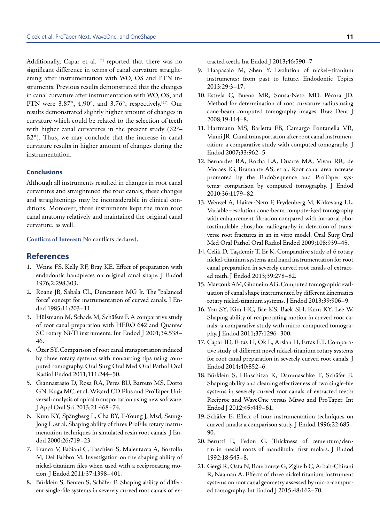Additionally, Capar et al.<sup>[17]</sup> reported that there was no significant difference in terms of canal curvature straightening after instrumentation with WO, OS and PTN instruments. Previous results demonstrated that the changes in canal curvature after instrumentation with WO, OS, and PTN were  $3.87^{\circ}$ ,  $4.90^{\circ}$ , and  $3.76^{\circ}$ , respectively.<sup>[17]</sup> Our results demonstrated slightly higher amount of changes in curvature which could be related to the selection of teeth with higher canal curvatures in the present study (32°– 52°). Thus, we may conclude that the increase in canal curvature results in higher amount of changes during the instrumentation.

#### **Conclusions**

Although all instruments resulted in changes in root canal curvatures and straightened the root canals, these changes and straightenings may be inconsiderable in clinical conditions. Moreover, three instruments kept the main root canal anatomy relatively and maintained the original canal curvature, as well.

**Conflicts of Interest:** No conflicts declared.

### **References**

- 1. Weine FS, Kelly RF, Bray KE. Effect of preparation with endodontic handpieces on original canal shape. J Endod 1976;2:298,303.
- 2. Roane JB, Sabala CL, Duncanson MG Jr. The "balanced force" concept for instrumentation of curved canals. J Endod 1985;11:203–11.
- 3. Hülsmann M, Schade M, Schäfers F. A comparative study of root canal preparation with HERO 642 and Quantec SC rotary Ni-Ti instruments. Int Endod J 2001;34:538– 46.
- 4. Özer SY. Comparison of root canal transportation induced by three rotary systems with noncutting tips using computed tomography. Oral Surg Oral Med Oral Pathol Oral Radiol Endod 2011;111:244–50.
- 5. Giannastasio D, Rosa RA, Peres BU, Barreto MS, Dotto GN, Kuga MC, et al. Wizard CD Plus and ProTaper Universal: analysis of apical transportation using new software. J Appl Oral Sci 2013;21:468–74.
- 6. Kum KY, Spängberg L, Cha BY, Il-Young J, Msd, Seung-Jong L, et al. Shaping ability of three ProFile rotary instrumentation techniques in simulated resin root canals. J Endod 2000;26:719–23.
- 7. Franco V, Fabiani C, Taschieri S, Malentacca A, Bortolin M, Del Fabbro M. Investigation on the shaping ability of nickel-titanium files when used with a reciprocating motion. J Endod 2011;37:1398–401.
- 8. Bürklein S, Benten S, Schäfer E. Shaping ability of different single-file systems in severely curved root canals of ex-

tracted teeth. Int Endod J 2013;46:590–7.

- 9. Haapasalo M, Shen Y. Evolution of nickel–titanium instruments: from past to future. Endodontic Topics 2013;29:3–17.
- 10. Estrela C, Bueno MR, Sousa-Neto MD, Pécora JD. Method for determination of root curvature radius using cone-beam computed tomography images. Braz Dent J 2008;19:114–8.
- 11. Hartmann MS, Barletta FB, Camargo Fontanella VR, Vanni JR. Canal transportation after root canal instrumentation: a comparative study with computed tomography. J Endod 2007;33:962–5.
- 12. Bernardes RA, Rocha EA, Duarte MA, Vivan RR, de Moraes IG, Bramante AS, et al. Root canal area increase promoted by the EndoSequence and ProTaper systems: comparison by computed tomography. J Endod 2010;36:1179–82.
- 13. Wenzel A, Haiter-Neto F, Frydenberg M, Kirkevang LL. Variable-resolution cone-beam computerized tomography with enhancement filtration compared with intraoral photostimulable phosphor radiography in detection of transverse root fractures in an in vitro model. Oral Surg Oral Med Oral Pathol Oral Radiol Endod 2009;108:939–45.
- 14. Celik D, Taşdemir T, Er K. Comparative study of 6 rotary nickel-titanium systems and hand instrumentation for root canal preparation in severely curved root canals of extracted teeth. J Endod 2013;39:278–82.
- 15. Marzouk AM, Ghoneim AG. Computed tomographic evaluation of canal shape instrumented by different kinematics rotary nickel-titanium systems. J Endod 2013;39:906–9.
- 16. You SY, Kim HC, Bae KS, Baek SH, Kum KY, Lee W. Shaping ability of reciprocating motion in curved root canals: a comparative study with micro-computed tomography. J Endod 2011;37:1296–300.
- 17. Capar ID, Ertas H, Ok E, Arslan H, Ertas ET. Comparative study of different novel nickel-titanium rotary systems for root canal preparation in severely curved root canals. J Endod 2014;40:852–6.
- 18. Bürklein S, Hinschitza K, Dammaschke T, Schäfer E. Shaping ability and cleaning effectiveness of two single-file systems in severely curved root canals of extracted teeth: Reciproc and WaveOne versus Mtwo and ProTaper. Int Endod J 2012;45:449–61.
- 19. Schäfer E. Effect of four instrumentation techniques on curved canals: a comparison study. J Endod 1996;22:685– 90.
- 20. Berutti E, Fedon G. Thickness of cementum/dentin in mesial roots of mandibular first molars. J Endod 1992;18:545–8.
- 21. Gergi R, Osta N, Bourbouze G, Zgheib C, Arbab-Chirani R, Naaman A. Effects of three nickel titanium instrument systems on root canal geometry assessed by micro-computed tomography. Int Endod J 2015;48:162–70.